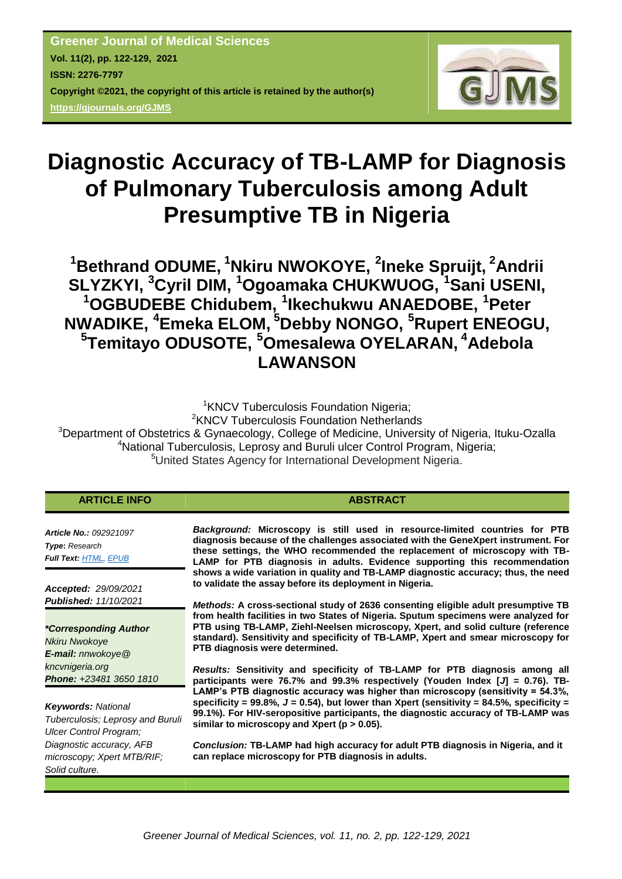

# **Diagnostic Accuracy of TB-LAMP for Diagnosis of Pulmonary Tuberculosis among Adult Presumptive TB in Nigeria**

**<sup>1</sup>Bethrand ODUME, <sup>1</sup>Nkiru NWOKOYE, <sup>2</sup> Ineke Spruijt, <sup>2</sup>Andrii SLYZKYI, <sup>3</sup>Cyril DIM, <sup>1</sup>Ogoamaka CHUKWUOG, <sup>1</sup>Sani USENI, <sup>1</sup>OGBUDEBE Chidubem, <sup>1</sup> Ikechukwu ANAEDOBE, <sup>1</sup>Peter NWADIKE, <sup>4</sup>Emeka ELOM, <sup>5</sup>Debby NONGO, <sup>5</sup>Rupert ENEOGU, 5 Temitayo ODUSOTE, <sup>5</sup>Omesalewa OYELARAN, <sup>4</sup>Adebola LAWANSON**

<sup>1</sup>KNCV Tuberculosis Foundation Nigeria: <sup>2</sup>KNCV Tuberculosis Foundation Netherlands <sup>3</sup>Department of Obstetrics & Gynaecology, College of Medicine, University of Nigeria, Ituku-Ozalla <sup>4</sup>National Tuberculosis, Leprosy and Buruli ulcer Control Program, Nigeria; <sup>5</sup>United States Agency for International Development Nigeria.

| <b>ARTICLE INFO</b>                                                                    | <b>ABSTRACT</b>                                                                                                                                                                                                                                                                                                            |
|----------------------------------------------------------------------------------------|----------------------------------------------------------------------------------------------------------------------------------------------------------------------------------------------------------------------------------------------------------------------------------------------------------------------------|
| <b>Article No.: 092921097</b><br><b>Type: Research</b><br><b>Full Text: HTML, EPUB</b> | Background: Microscopy is still used in resource-limited countries for PTB<br>diagnosis because of the challenges associated with the GeneXpert instrument. For<br>these settings, the WHO recommended the replacement of microscopy with TB-<br>LAMP for PTB diagnosis in adults. Evidence supporting this recommendation |
| <b>Accepted: 29/09/2021</b>                                                            | shows a wide variation in quality and TB-LAMP diagnostic accuracy; thus, the need<br>to validate the assay before its deployment in Nigeria.                                                                                                                                                                               |
| <b>Published: 11/10/2021</b>                                                           | <i>Methods:</i> A cross-sectional study of 2636 consenting eligible adult presumptive TB                                                                                                                                                                                                                                   |
| <i>*Corresponding Author</i>                                                           | from health facilities in two States of Nigeria. Sputum specimens were analyzed for<br>PTB using TB-LAMP, Ziehl-Neelsen microscopy, Xpert, and solid culture (reference                                                                                                                                                    |
| <b>Nkiru Nwokoye</b>                                                                   | standard). Sensitivity and specificity of TB-LAMP, Xpert and smear microscopy for<br>PTB diagnosis were determined.                                                                                                                                                                                                        |
| <b>E-mail:</b> nnwokoye $@$                                                            |                                                                                                                                                                                                                                                                                                                            |
| kncvnigeria.org<br>Phone: +23481 3650 1810                                             | Results: Sensitivity and specificity of TB-LAMP for PTB diagnosis among all<br>participants were 76.7% and 99.3% respectively (Youden Index $[J] = 0.76$ ). TB-                                                                                                                                                            |
|                                                                                        | LAMP's PTB diagnostic accuracy was higher than microscopy (sensitivity = 54.3%,<br>specificity = $99.8\%$ , $J = 0.54$ ), but lower than Xpert (sensitivity = $84.5\%$ , specificity =                                                                                                                                     |
| <b>Keywords: National</b><br>Tuberculosis; Leprosy and Buruli                          | 99.1%). For HIV-seropositive participants, the diagnostic accuracy of TB-LAMP was                                                                                                                                                                                                                                          |
| Ulcer Control Program;                                                                 | similar to microscopy and Xpert ( $p > 0.05$ ).                                                                                                                                                                                                                                                                            |
| Diagnostic accuracy, AFB                                                               | Conclusion: TB-LAMP had high accuracy for adult PTB diagnosis in Nigeria, and it                                                                                                                                                                                                                                           |
| microscopy; Xpert MTB/RIF;<br>Solid culture.                                           | can replace microscopy for PTB diagnosis in adults.                                                                                                                                                                                                                                                                        |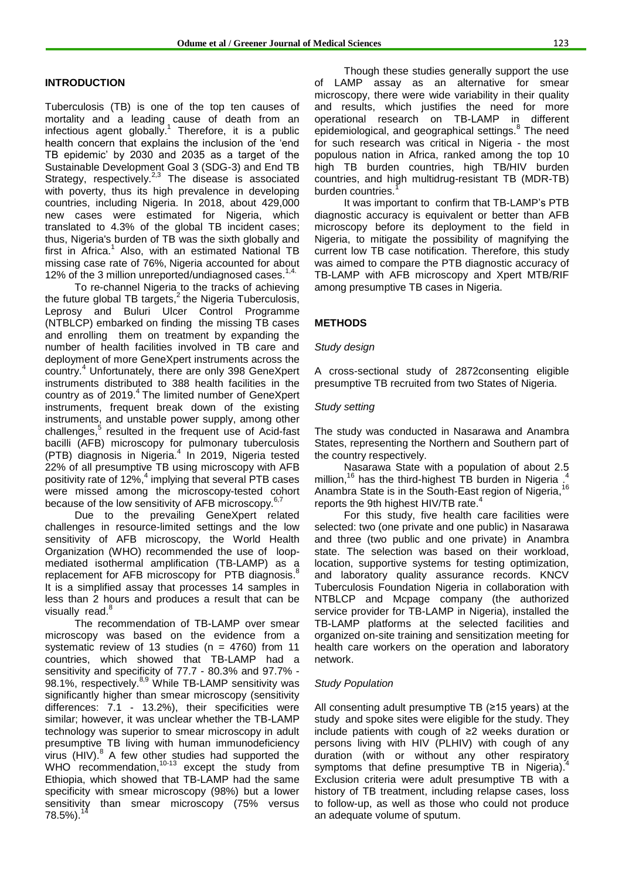#### **INTRODUCTION**

Tuberculosis (TB) is one of the top ten causes of mortality and a leading cause of death from an infectious agent globally. 1 Therefore, it is a public health concern that explains the inclusion of the 'end TB epidemic' by 2030 and 2035 as a target of the Sustainable Development Goal 3 (SDG-3) and End TB Strategy, respectively.<sup>2,3</sup> The disease is associated with poverty, thus its high prevalence in developing countries, including Nigeria. In 2018, about 429,000 new cases were estimated for Nigeria, which translated to 4.3% of the global TB incident cases; thus, Nigeria's burden of TB was the sixth globally and first in Africa.<sup>1</sup> Also, with an estimated National TB missing case rate of 76%, Nigeria accounted for about 12% of the 3 million unreported/undiagnosed cases.<sup>1</sup>

To re-channel Nigeria to the tracks of achieving the future global TB targets,<sup>2</sup> the Nigeria Tuberculosis, Leprosy and Buluri Ulcer Control Programme (NTBLCP) embarked on finding the missing TB cases and enrolling them on treatment by expanding the number of health facilities involved in TB care and deployment of more GeneXpert instruments across the country.<sup>4</sup> Unfortunately, there are only 398 GeneXpert instruments distributed to 388 health facilities in the country as of 2019.<sup>4</sup> The limited number of GeneXpert instruments, frequent break down of the existing instruments, and unstable power supply, among other challenges,<sup>5</sup> resulted in the frequent use of Acid-fast bacilli (AFB) microscopy for pulmonary tuberculosis (PTB) diagnosis in Nigeria. 4 In 2019, Nigeria tested 22% of all presumptive TB using microscopy with AFB positivity rate of 12%,<sup>4</sup> implying that several PTB cases were missed among the microscopy-tested cohort because of the low sensitivity of AFB microscopy.<sup>6,7</sup>

Due to the prevailing GeneXpert related challenges in resource-limited settings and the low sensitivity of AFB microscopy, the World Health Organization (WHO) recommended the use of loopmediated isothermal amplification (TB-LAMP) as a replacement for AFB microscopy for PTB diagnosis.<sup>8</sup> It is a simplified assay that processes 14 samples in less than 2 hours and produces a result that can be visually read.<sup>8</sup>

The recommendation of TB-LAMP over smear microscopy was based on the evidence from a systematic review of 13 studies ( $n = 4760$ ) from 11 countries, which showed that TB-LAMP had a sensitivity and specificity of 77.7 - 80.3% and 97.7% - 98.1%, respectively.<sup>8,9</sup> While TB-LAMP sensitivity was significantly higher than smear microscopy (sensitivity differences: 7.1 - 13.2%), their specificities were similar; however, it was unclear whether the TB-LAMP technology was superior to smear microscopy in adult presumptive TB living with human immunodeficiency virus (HIV). 8 A few other studies had supported the WHO recommendation, $10-13$  except the study from Ethiopia, which showed that TB-LAMP had the same specificity with smear microscopy (98%) but a lower sensitivity than smear microscopy (75% versus  $78.5\%$ ).<sup>1</sup>

Though these studies generally support the use of LAMP assay as an alternative for smear microscopy, there were wide variability in their quality and results, which justifies the need for more operational research on TB-LAMP in different epidemiological, and geographical settings.<sup>8</sup> The need for such research was critical in Nigeria - the most populous nation in Africa, ranked among the top 10 high TB burden countries, high TB/HIV burden countries, and high multidrug-resistant TB (MDR-TB) burden countries.

It was important to confirm that TB-LAMP's PTB diagnostic accuracy is equivalent or better than AFB microscopy before its deployment to the field in Nigeria, to mitigate the possibility of magnifying the current low TB case notification. Therefore, this study was aimed to compare the PTB diagnostic accuracy of TB-LAMP with AFB microscopy and Xpert MTB/RIF among presumptive TB cases in Nigeria.

#### **METHODS**

#### *Study design*

A cross-sectional study of 2872consenting eligible presumptive TB recruited from two States of Nigeria.

#### *Study setting*

The study was conducted in Nasarawa and Anambra States, representing the Northern and Southern part of the country respectively.

Nasarawa State with a population of about 2.5<br><sup>16</sup> has the third bigheat TP burden in Nigaria.<sup>4</sup> million,<sup>16</sup> has the third-highest TB burden in Nigeria. Anambra State is in the South-East region of Nigeria, <sup>16</sup> reports the 9th highest HIV/TB rate.<sup>4</sup>

For this study, five health care facilities were selected: two (one private and one public) in Nasarawa and three (two public and one private) in Anambra state. The selection was based on their workload, location, supportive systems for testing optimization, and laboratory quality assurance records. KNCV Tuberculosis Foundation Nigeria in collaboration with NTBLCP and Mcpage company (the authorized service provider for TB-LAMP in Nigeria), installed the TB-LAMP platforms at the selected facilities and organized on-site training and sensitization meeting for health care workers on the operation and laboratory network.

#### *Study Population*

All consenting adult presumptive TB (≥15 years) at the study and spoke sites were eligible for the study. They include patients with cough of ≥2 weeks duration or persons living with HIV (PLHIV) with cough of any duration (with or without any other respiratory symptoms that define presumptive TB in Nigeria).<sup>4</sup> Exclusion criteria were adult presumptive TB with a history of TB treatment, including relapse cases, loss to follow-up, as well as those who could not produce an adequate volume of sputum.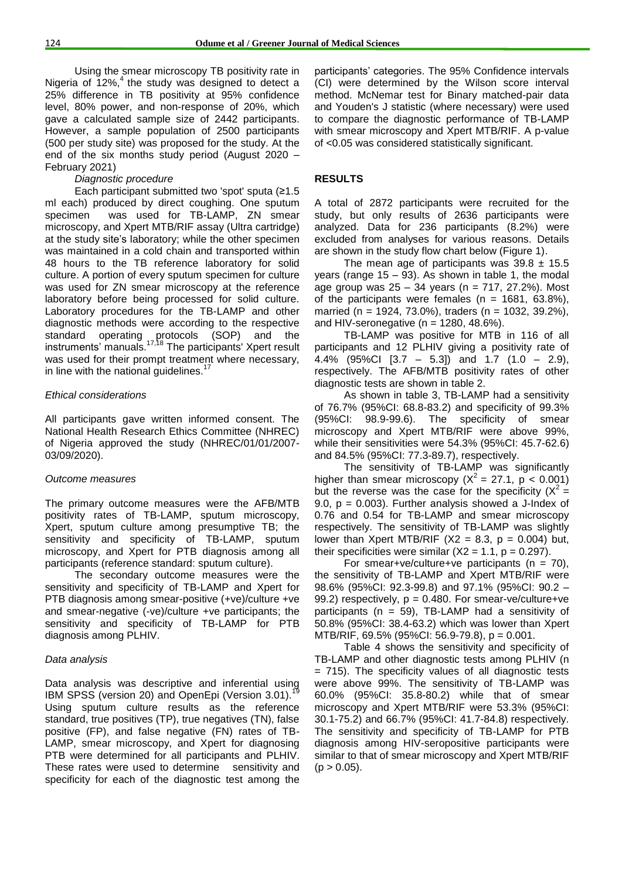Using the smear microscopy TB positivity rate in Nigeria of  $12\%$ ,<sup>4</sup> the study was designed to detect a 25% difference in TB positivity at 95% confidence level, 80% power, and non-response of 20%, which gave a calculated sample size of 2442 participants. However, a sample population of 2500 participants (500 per study site) was proposed for the study. At the end of the six months study period (August 2020 – February 2021)

#### *Diagnostic procedure*

Each participant submitted two 'spot' sputa (≥1.5 ml each) produced by direct coughing. One sputum specimen was used for TB-LAMP, ZN smear microscopy, and Xpert MTB/RIF assay (Ultra cartridge) at the study site's laboratory; while the other specimen was maintained in a cold chain and transported within 48 hours to the TB reference laboratory for solid culture. A portion of every sputum specimen for culture was used for ZN smear microscopy at the reference laboratory before being processed for solid culture. Laboratory procedures for the TB-LAMP and other diagnostic methods were according to the respective standard operating protocols (SOP) and the instruments' manuals.<sup>17,18</sup> The participants' Xpert result was used for their prompt treatment where necessary, in line with the national guidelines. $<sup>1</sup>$ </sup>

#### *Ethical considerations*

All participants gave written informed consent. The National Health Research Ethics Committee (NHREC) of Nigeria approved the study (NHREC/01/01/2007- 03/09/2020).

#### *Outcome measures*

The primary outcome measures were the AFB/MTB positivity rates of TB-LAMP, sputum microscopy, Xpert, sputum culture among presumptive TB; the sensitivity and specificity of TB-LAMP, sputum microscopy, and Xpert for PTB diagnosis among all participants (reference standard: sputum culture).

The secondary outcome measures were the sensitivity and specificity of TB-LAMP and Xpert for PTB diagnosis among smear-positive (+ve)/culture +ve and smear-negative (-ve)/culture +ve participants; the sensitivity and specificity of TB-LAMP for PTB diagnosis among PLHIV.

#### *Data analysis*

Data analysis was descriptive and inferential using IBM SPSS (version 20) and OpenEpi (Version 3.01). Using sputum culture results as the reference standard, true positives (TP), true negatives (TN), false positive (FP), and false negative (FN) rates of TB-LAMP, smear microscopy, and Xpert for diagnosing PTB were determined for all participants and PLHIV. These rates were used to determine sensitivity and specificity for each of the diagnostic test among the participants' categories. The 95% Confidence intervals (CI) were determined by the Wilson score interval method. McNemar test for Binary matched-pair data and Youden's J statistic (where necessary) were used to compare the diagnostic performance of TB-LAMP with smear microscopy and Xpert MTB/RIF. A p-value of <0.05 was considered statistically significant.

#### **RESULTS**

A total of 2872 participants were recruited for the study, but only results of 2636 participants were analyzed. Data for 236 participants (8.2%) were excluded from analyses for various reasons. Details are shown in the study flow chart below (Figure 1).

The mean age of participants was  $39.8 \pm 15.5$ years (range 15 – 93). As shown in table 1, the modal age group was  $25 - 34$  years (n = 717, 27.2%). Most of the participants were females ( $n = 1681, 63.8\%$ ), married (n = 1924, 73.0%), traders (n = 1032, 39.2%), and HIV-seronegative ( $n = 1280, 48.6\%$ ).

TB-LAMP was positive for MTB in 116 of all participants and 12 PLHIV giving a positivity rate of 4.4% (95%CI [3.7 – 5.3]) and 1.7 (1.0 – 2.9), respectively. The AFB/MTB positivity rates of other diagnostic tests are shown in table 2.

As shown in table 3, TB-LAMP had a sensitivity of 76.7% (95%CI: 68.8-83.2) and specificity of 99.3% (95%CI: 98.9-99.6). The specificity of smear microscopy and Xpert MTB/RIF were above 99%, while their sensitivities were 54.3% (95%CI: 45.7-62.6) and 84.5% (95%CI: 77.3-89.7), respectively.

The sensitivity of TB-LAMP was significantly higher than smear microscopy ( $X^2 = 27.1$ , p < 0.001) but the reverse was the case for the specificity  $(X^2 =$ 9.0,  $p = 0.003$ ). Further analysis showed a J-Index of 0.76 and 0.54 for TB-LAMP and smear microscopy respectively. The sensitivity of TB-LAMP was slightly lower than Xpert MTB/RIF (X2 = 8.3,  $p = 0.004$ ) but, their specificities were similar  $(X2 = 1.1, p = 0.297)$ .

For smear+ve/culture+ve participants ( $n = 70$ ), the sensitivity of TB-LAMP and Xpert MTB/RIF were 98.6% (95%CI: 92.3-99.8) and 97.1% (95%CI: 90.2 – 99.2) respectively,  $p = 0.480$ . For smear-ve/culture+ve participants ( $n = 59$ ), TB-LAMP had a sensitivity of 50.8% (95%CI: 38.4-63.2) which was lower than Xpert MTB/RIF, 69.5% (95%CI: 56.9-79.8), p = 0.001.

Table 4 shows the sensitivity and specificity of TB-LAMP and other diagnostic tests among PLHIV (n = 715). The specificity values of all diagnostic tests were above 99%. The sensitivity of TB-LAMP was 60.0% (95%CI: 35.8-80.2) while that of smear microscopy and Xpert MTB/RIF were 53.3% (95%CI: 30.1-75.2) and 66.7% (95%CI: 41.7-84.8) respectively. The sensitivity and specificity of TB-LAMP for PTB diagnosis among HIV-seropositive participants were similar to that of smear microscopy and Xpert MTB/RIF  $(p > 0.05)$ .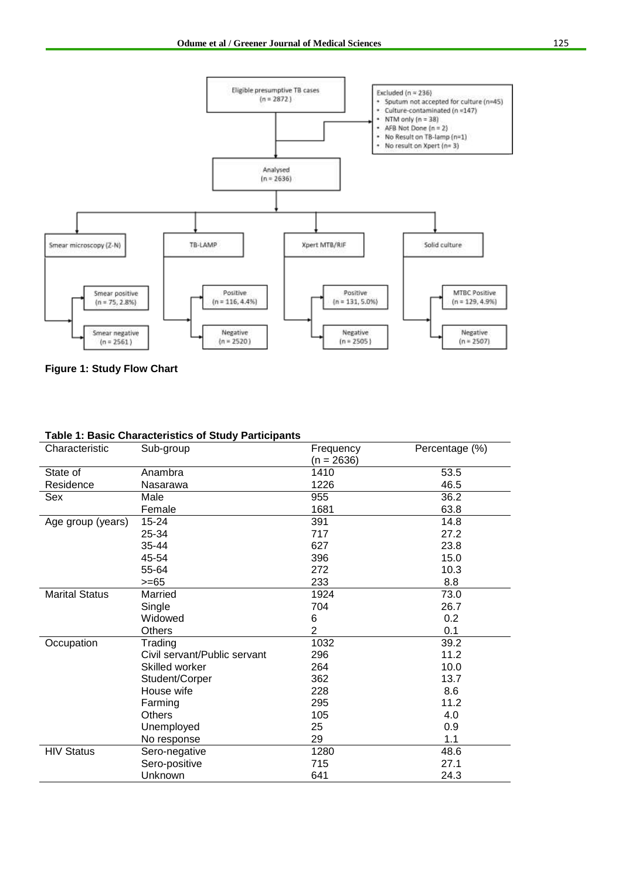

**Figure 1: Study Flow Chart**

| Characteristic        | apio 1. Dabio Onaraotonotico or Otauy i articipanto<br>Sub-group | Frequency      | Percentage (%) |  |
|-----------------------|------------------------------------------------------------------|----------------|----------------|--|
|                       |                                                                  | $(n = 2636)$   |                |  |
| State of              | Anambra                                                          | 1410           | 53.5           |  |
| Residence             | Nasarawa                                                         | 1226           | 46.5           |  |
| Sex                   | Male                                                             | 955            | 36.2           |  |
|                       | Female                                                           | 1681           | 63.8           |  |
| Age group (years)     | 15-24                                                            | 391            | 14.8           |  |
|                       | 25-34                                                            | 717            | 27.2           |  |
|                       | 35-44                                                            | 627            | 23.8           |  |
|                       | 45-54                                                            | 396            | 15.0           |  |
|                       | 55-64                                                            | 272            | 10.3           |  |
|                       | $>= 65$                                                          | 233            | 8.8            |  |
| <b>Marital Status</b> | Married                                                          | 1924           | 73.0           |  |
|                       | Single                                                           | 704            | 26.7           |  |
|                       | Widowed                                                          | 6              | 0.2            |  |
|                       | <b>Others</b>                                                    | $\overline{2}$ | 0.1            |  |
| Occupation            | Trading                                                          | 1032           | 39.2           |  |
|                       | Civil servant/Public servant                                     | 296            | 11.2           |  |
|                       | Skilled worker                                                   | 264            | 10.0           |  |
|                       | Student/Corper                                                   | 362            | 13.7           |  |
|                       | House wife                                                       | 228            | 8.6            |  |
|                       | Farming                                                          | 295            | 11.2           |  |
|                       | Others                                                           | 105            | 4.0            |  |
|                       | Unemployed                                                       | 25             | 0.9            |  |
|                       | No response                                                      | 29             | 1.1            |  |
| <b>HIV Status</b>     | Sero-negative                                                    | 1280           | 48.6           |  |
|                       | Sero-positive                                                    | 715            | 27.1           |  |
|                       | Unknown                                                          | 641            | 24.3           |  |

### **Table 1: Basic Characteristics of Study Participants**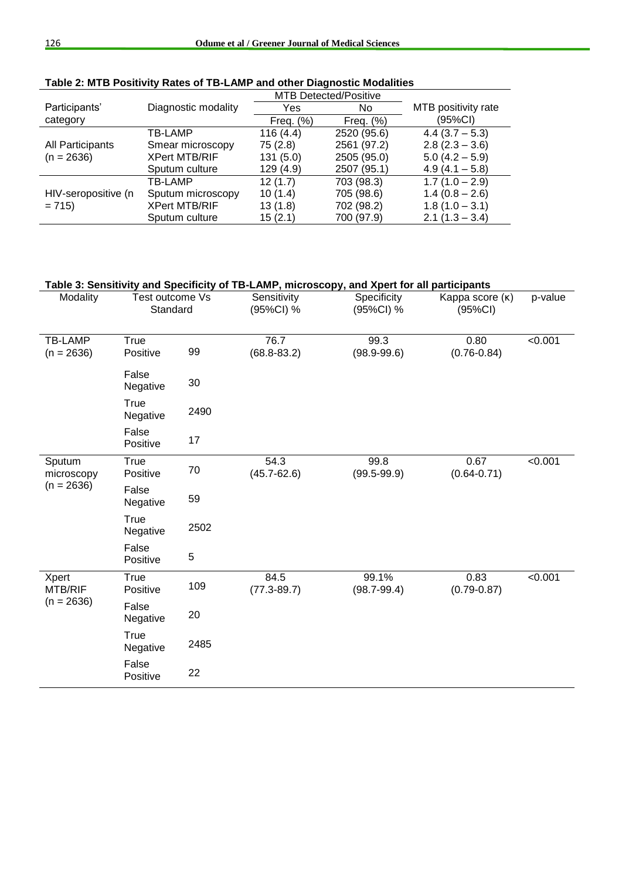|                     |                      | <b>MTB Detected/Positive</b> |              |                     |
|---------------------|----------------------|------------------------------|--------------|---------------------|
| Participants'       | Diagnostic modality  | Yes                          | No.          | MTB positivity rate |
| category            |                      | Freq. $(\%)$                 | Freq. $(\%)$ | (95%CI)             |
|                     | <b>TB-LAMP</b>       | 116(4.4)                     | 2520 (95.6)  | $4.4(3.7 - 5.3)$    |
| All Participants    | Smear microscopy     | 75(2.8)                      | 2561 (97.2)  | $2.8(2.3 - 3.6)$    |
| $(n = 2636)$        | <b>XPert MTB/RIF</b> | 131(5.0)                     | 2505 (95.0)  | $5.0(4.2 - 5.9)$    |
|                     | Sputum culture       | 129(4.9)                     | 2507 (95.1)  | $4.9(4.1 - 5.8)$    |
|                     | TB-LAMP              | 12(1.7)                      | 703 (98.3)   | $1.7(1.0 - 2.9)$    |
| HIV-seropositive (n | Sputum microscopy    | 10(1.4)                      | 705 (98.6)   | $1.4(0.8 - 2.6)$    |
| $= 715$             | <b>XPert MTB/RIF</b> | 13(1.8)                      | 702 (98.2)   | $1.8(1.0 - 3.1)$    |
|                     | Sputum culture       | 15(2.1)                      | 700 (97.9)   | $2.1(1.3 - 3.4)$    |

# **Table 2: MTB Positivity Rates of TB-LAMP and other Diagnostic Modalities**

## **Table 3: Sensitivity and Specificity of TB-LAMP, microscopy, and Xpert for all participants**

| Modality                             | Test outcome Vs<br>Standard |      | Sensitivity<br>(95%CI) % | Specificity<br>(95%CI) % | Kappa score (K)<br>(95%CI) | p-value |
|--------------------------------------|-----------------------------|------|--------------------------|--------------------------|----------------------------|---------|
| TB-LAMP<br>$(n = 2636)$              | True<br>Positive            | 99   | 76.7<br>$(68.8 - 83.2)$  | 99.3<br>$(98.9 - 99.6)$  | 0.80<br>$(0.76 - 0.84)$    | < 0.001 |
|                                      | False<br>Negative           | 30   |                          |                          |                            |         |
|                                      | True<br>Negative            | 2490 |                          |                          |                            |         |
|                                      | False<br>Positive           | 17   |                          |                          |                            |         |
| Sputum<br>microscopy<br>$(n = 2636)$ | True<br>Positive            | 70   | 54.3<br>$(45.7 - 62.6)$  | 99.8<br>$(99.5 - 99.9)$  | 0.67<br>$(0.64 - 0.71)$    | < 0.001 |
|                                      | False<br>Negative           | 59   |                          |                          |                            |         |
|                                      | True<br>Negative            | 2502 |                          |                          |                            |         |
|                                      | False<br>Positive           | 5    |                          |                          |                            |         |
| Xpert<br>MTB/RIF<br>$(n = 2636)$     | True<br>Positive            | 109  | 84.5<br>$(77.3 - 89.7)$  | 99.1%<br>$(98.7 - 99.4)$ | 0.83<br>$(0.79 - 0.87)$    | < 0.001 |
|                                      | False<br>Negative           | 20   |                          |                          |                            |         |
|                                      | True<br>Negative            | 2485 |                          |                          |                            |         |
|                                      | False<br>Positive           | 22   |                          |                          |                            |         |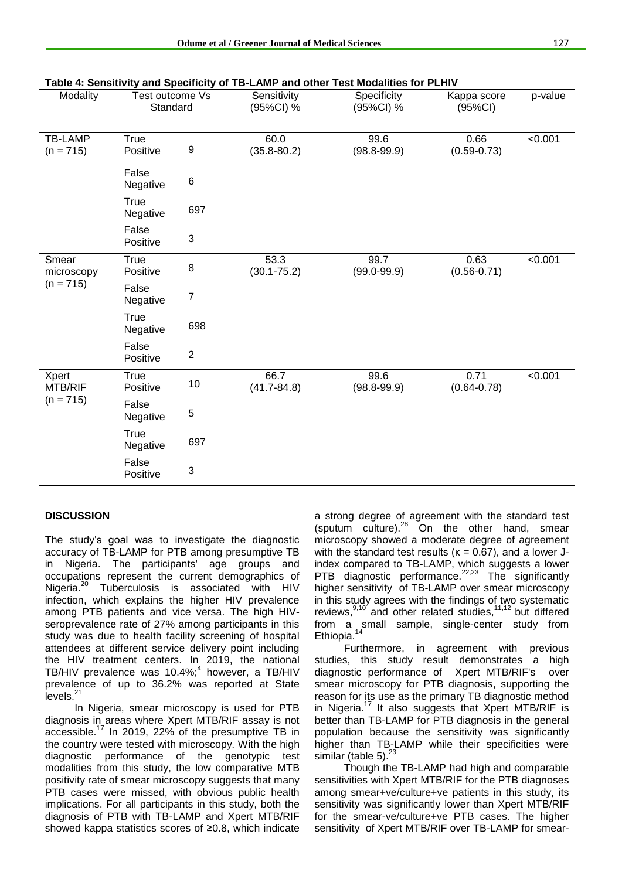| Table 4: Sensitivity and Specificity of TB-LAMP and other Test Modalities for PLHIV |                             |                  |                          |                          |                         |         |  |
|-------------------------------------------------------------------------------------|-----------------------------|------------------|--------------------------|--------------------------|-------------------------|---------|--|
| Modality                                                                            | Test outcome Vs<br>Standard |                  | Sensitivity<br>(95%CI) % | Specificity<br>(95%CI) % | Kappa score<br>(95%CI)  | p-value |  |
| <b>TB-LAMP</b><br>$(n = 715)$                                                       | True<br>Positive            | 9                | 60.0<br>$(35.8 - 80.2)$  | 99.6<br>$(98.8 - 99.9)$  | 0.66<br>$(0.59 - 0.73)$ | < 0.001 |  |
|                                                                                     | False<br>Negative           | 6                |                          |                          |                         |         |  |
|                                                                                     | True<br>Negative            | 697              |                          |                          |                         |         |  |
|                                                                                     | False<br>Positive           | 3                |                          |                          |                         |         |  |
| Smear<br>microscopy<br>$(n = 715)$                                                  | True<br>Positive            | 8                | 53.3<br>$(30.1 - 75.2)$  | 99.7<br>$(99.0 - 99.9)$  | 0.63<br>$(0.56 - 0.71)$ | < 0.001 |  |
|                                                                                     | False<br>Negative           | 7                |                          |                          |                         |         |  |
|                                                                                     | True<br>Negative            | 698              |                          |                          |                         |         |  |
|                                                                                     | False<br>Positive           | $\boldsymbol{2}$ |                          |                          |                         |         |  |
| Xpert<br><b>MTB/RIF</b><br>$(n = 715)$                                              | True<br>Positive            | 10               | 66.7<br>$(41.7 - 84.8)$  | 99.6<br>$(98.8 - 99.9)$  | 0.71<br>$(0.64 - 0.78)$ | < 0.001 |  |
|                                                                                     | False<br>Negative           | 5                |                          |                          |                         |         |  |
|                                                                                     | True<br>Negative            | 697              |                          |                          |                         |         |  |
|                                                                                     | False<br>Positive           | 3                |                          |                          |                         |         |  |

## **DISCUSSION**

The study's goal was to investigate the diagnostic accuracy of TB-LAMP for PTB among presumptive TB in Nigeria. The participants' age groups and occupations represent the current demographics of Nigeria.<sup>20</sup> Tuberculosis is associated with HIV infection, which explains the higher HIV prevalence among PTB patients and vice versa. The high HIVseroprevalence rate of 27% among participants in this study was due to health facility screening of hospital attendees at different service delivery point including the HIV treatment centers. In 2019, the national TB/HIV prevalence was 10.4%; 4 however, a TB/HIV prevalence of up to 36.2% was reported at State .<br>levels.<sup>21</sup>

In Nigeria, smear microscopy is used for PTB diagnosis in areas where Xpert MTB/RIF assay is not accessible.<sup>17</sup> In 2019, 22% of the presumptive TB in the country were tested with microscopy. With the high diagnostic performance of the genotypic test modalities from this study, the low comparative MTB positivity rate of smear microscopy suggests that many PTB cases were missed, with obvious public health implications. For all participants in this study, both the diagnosis of PTB with TB-LAMP and Xpert MTB/RIF showed kappa statistics scores of ≥0.8, which indicate a strong degree of agreement with the standard test (sputum culture). $28$  On the other hand, smear microscopy showed a moderate degree of agreement with the standard test results ( $k = 0.67$ ), and a lower Jindex compared to TB-LAMP, which suggests a lower PTB diagnostic performance. $22,23$  The significantly higher sensitivity of TB-LAMP over smear microscopy in this study agrees with the findings of two systematic reviews, $9,10$  and other related studies, $11,12$  but differed from a small sample, single-center study from Ethiopia.<sup>14</sup>

Furthermore, in agreement with previous studies, this study result demonstrates a high diagnostic performance of Xpert MTB/RIF's over smear microscopy for PTB diagnosis, supporting the reason for its use as the primary TB diagnostic method in Nigeria.<sup>17</sup> It also suggests that Xpert MTB/RIF is better than TB-LAMP for PTB diagnosis in the general population because the sensitivity was significantly higher than TB-LAMP while their specificities were similar (table  $5$ ). $^{23}$ 

Though the TB-LAMP had high and comparable sensitivities with Xpert MTB/RIF for the PTB diagnoses among smear+ve/culture+ve patients in this study, its sensitivity was significantly lower than Xpert MTB/RIF for the smear-ve/culture+ve PTB cases. The higher sensitivity of Xpert MTB/RIF over TB-LAMP for smear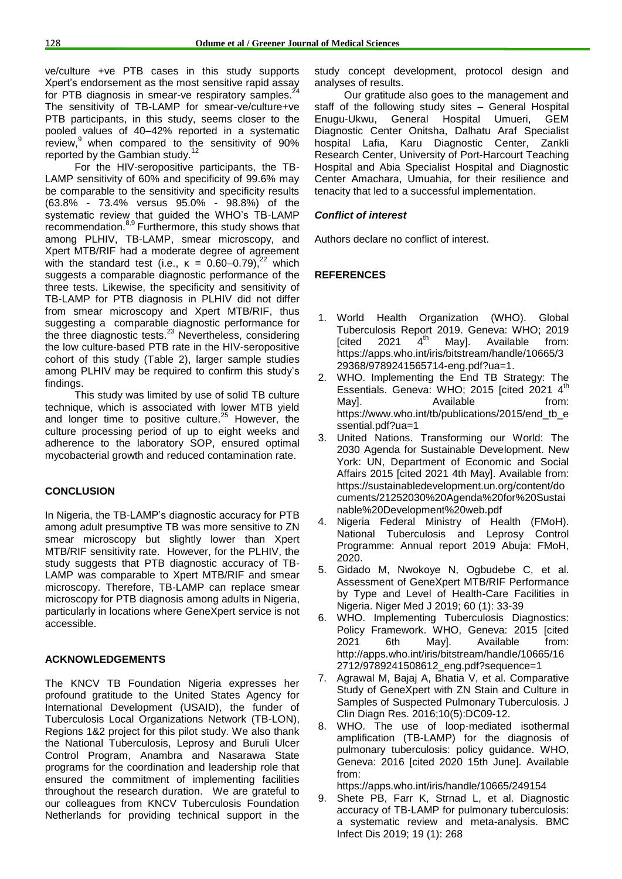ve/culture +ve PTB cases in this study supports Xpert's endorsement as the most sensitive rapid assay for PTB diagnosis in smear-ve respiratory samples.<sup>24</sup> The sensitivity of TB-LAMP for smear-ve/culture+ve PTB participants, in this study, seems closer to the pooled values of 40–42% reported in a systematic review, <sup>9</sup> when compared to the sensitivity of 90% reported by the Gambian study.<sup>12</sup>

For the HIV-seropositive participants, the TB-LAMP sensitivity of 60% and specificity of 99.6% may be comparable to the sensitivity and specificity results (63.8% - 73.4% versus 95.0% - 98.8%) of the systematic review that guided the WHO's TB-LAMP recommendation.<sup>8,9</sup> Furthermore, this study shows that among PLHIV, TB-LAMP, smear microscopy, and Xpert MTB/RIF had a moderate degree of agreement with the standard test (i.e.,  $\kappa = 0.60 - 0.79$ ),<sup>22</sup> which suggests a comparable diagnostic performance of the three tests. Likewise, the specificity and sensitivity of TB-LAMP for PTB diagnosis in PLHIV did not differ from smear microscopy and Xpert MTB/RIF, thus suggesting a comparable diagnostic performance for the three diagnostic tests.<sup>23</sup> Nevertheless, considering the low culture-based PTB rate in the HIV-seropositive cohort of this study (Table 2), larger sample studies among PLHIV may be required to confirm this study's findings.

This study was limited by use of solid TB culture technique, which is associated with lower MTB yield and longer time to positive culture.<sup>25</sup> However, the culture processing period of up to eight weeks and adherence to the laboratory SOP, ensured optimal mycobacterial growth and reduced contamination rate.

#### **CONCLUSION**

In Nigeria, the TB-LAMP's diagnostic accuracy for PTB among adult presumptive TB was more sensitive to ZN smear microscopy but slightly lower than Xpert MTB/RIF sensitivity rate. However, for the PLHIV, the study suggests that PTB diagnostic accuracy of TB-LAMP was comparable to Xpert MTB/RIF and smear microscopy. Therefore, TB-LAMP can replace smear microscopy for PTB diagnosis among adults in Nigeria, particularly in locations where GeneXpert service is not accessible.

#### **ACKNOWLEDGEMENTS**

The KNCV TB Foundation Nigeria expresses her profound gratitude to the United States Agency for International Development (USAID), the funder of Tuberculosis Local Organizations Network (TB-LON), Regions 1&2 project for this pilot study. We also thank the National Tuberculosis, Leprosy and Buruli Ulcer Control Program, Anambra and Nasarawa State programs for the coordination and leadership role that ensured the commitment of implementing facilities throughout the research duration. We are grateful to our colleagues from KNCV Tuberculosis Foundation Netherlands for providing technical support in the

study concept development, protocol design and analyses of results.

Our gratitude also goes to the management and staff of the following study sites – General Hospital Enugu-Ukwu, General Hospital Umueri, GEM Diagnostic Center Onitsha, Dalhatu Araf Specialist hospital Lafia, Karu Diagnostic Center, Zankli Research Center, University of Port-Harcourt Teaching Hospital and Abia Specialist Hospital and Diagnostic Center Amachara, Umuahia, for their resilience and tenacity that led to a successful implementation.

#### *Conflict of interest*

Authors declare no conflict of interest.

#### **REFERENCES**

- 1. World Health Organization (WHO). Global Tuberculosis Report 2019. Geneva: WHO; 2019<br>[cited 2021 4<sup>th</sup> Mav]. Available from:  $[cited 2021$ May]. Available from: https://apps.who.int/iris/bitstream/handle/10665/3 29368/9789241565714-eng.pdf?ua=1.
- 2. WHO. Implementing the End TB Strategy: The Essentials. Geneva: WHO; 2015 [cited 2021 4<sup>th</sup> Mayl. Available from: https://www.who.int/tb/publications/2015/end\_tb\_e ssential.pdf?ua=1
- 3. United Nations. Transforming our World: The 2030 Agenda for Sustainable Development. New York: UN, Department of Economic and Social Affairs 2015 [cited 2021 4th May]. Available from: https://sustainabledevelopment.un.org/content/do cuments/21252030%20Agenda%20for%20Sustai nable%20Development%20web.pdf
- 4. Nigeria Federal Ministry of Health (FMoH). National Tuberculosis and Leprosy Control Programme: Annual report 2019 Abuja: FMoH, 2020.
- 5. Gidado M, Nwokoye N, Ogbudebe C, et al. Assessment of GeneXpert MTB/RIF Performance by Type and Level of Health-Care Facilities in Nigeria. Niger Med J 2019; 60 (1): 33-39
- WHO. Implementing Tuberculosis Diagnostics: Policy Framework. WHO, Geneva: 2015 [cited 2021 6th May]. Available from: http://apps.who.int/iris/bitstream/handle/10665/16 2712/9789241508612\_eng.pdf?sequence=1
- 7. Agrawal M, Bajaj A, Bhatia V, et al. Comparative Study of GeneXpert with ZN Stain and Culture in Samples of Suspected Pulmonary Tuberculosis. J Clin Diagn Res. 2016;10(5):DC09-12.
- 8. WHO. The use of loop-mediated isothermal amplification (TB-LAMP) for the diagnosis of pulmonary tuberculosis: policy guidance. WHO, Geneva: 2016 [cited 2020 15th June]. Available from:

https://apps.who.int/iris/handle/10665/249154

9. Shete PB, Farr K, Strnad L, et al. Diagnostic accuracy of TB-LAMP for pulmonary tuberculosis: a systematic review and meta-analysis. BMC Infect Dis 2019; 19 (1): 268